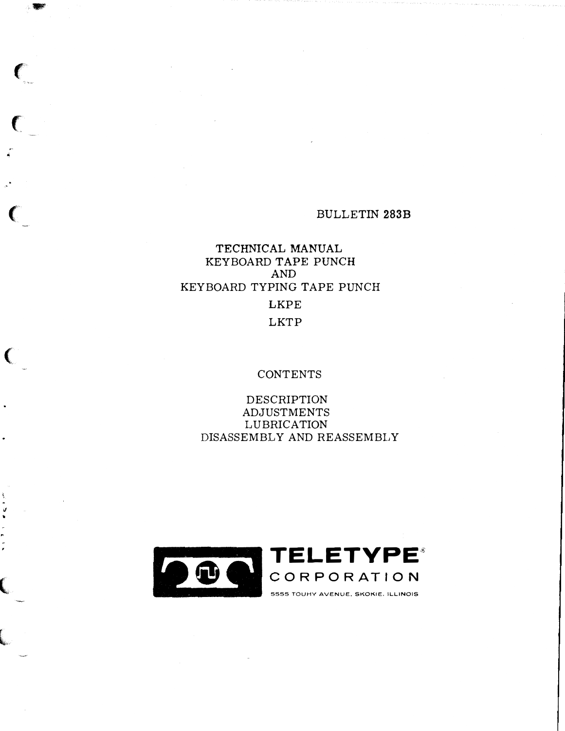## **BULLETIN 283B**

# TECHNICAL MANUAL KEYBOARD TAPE PUNCH **AND** KEYBOARD TYPING TAPE PUNCH **LKPE LKTP**

 $\epsilon$ 

€

# **CONTENTS**

**DESCRIPTION** ADJUSTMENTS LUBRICATION DISASSEMBLY AND REASSEMBLY

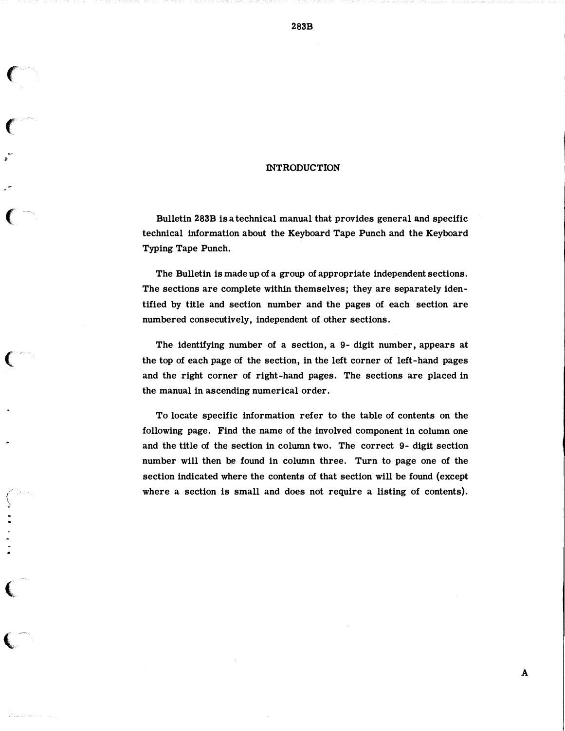#### INTRODUCTION

J,

 $\bigl(\begin{smallmatrix} \cdot \end{smallmatrix}$ 

and the state of the state of the state of

(-

Bulletin 283B is a technical manual that provides general and specific technical information about the Keyboard Tape Punch and the Keyboard Typing Tape Punch.

The Bulletin is made up of a group of appropriate independent sections. The sections are complete within themselves; they are separately identified by title and section number and the pages of each section are numbered consecutively, independent of other sections.

The identifying number of a section, a 9- digit number, appears at the top of each page of the section, in the left corner of left-hand pages and the right corner of right-hand pages. The sections are placed in the manual in ascending numerical order.

To locate specific information refer to the table of contents on the following page. Find the name of the involved component in column one and the title of the section in column two. The correct 9- digit section number will then be found in column three. Turn to page one of the section indicated where the contents of that section will be found (except where a section is small and does not require a listing of contents).

283B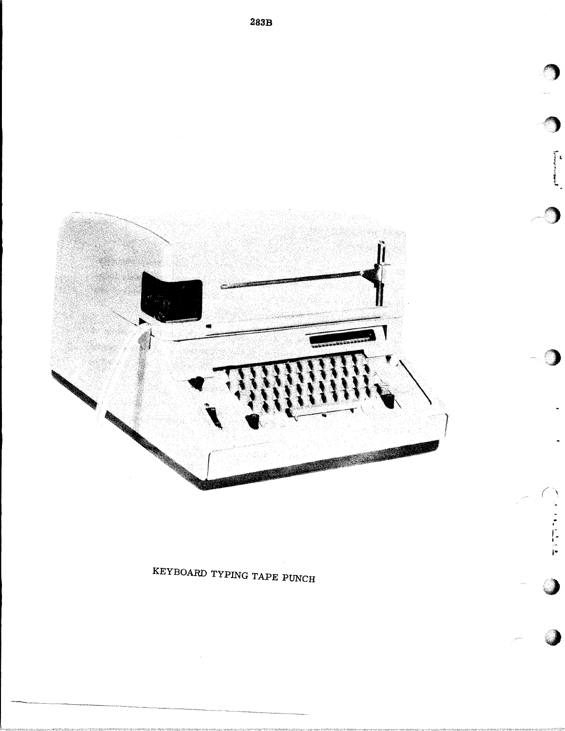

KEYBOARD TYPING TAPE PUNCH